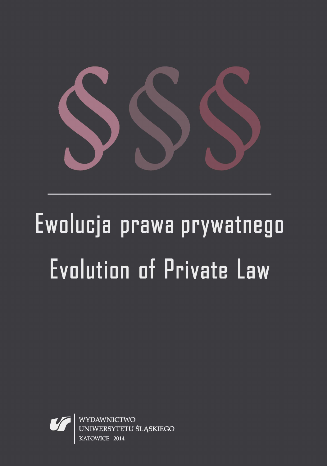

# Ewolucja prawa prywatnego Evolution of Private Law



WYDAWNICTWO RSYTETU ŚLĄSKIEGO **KATOW**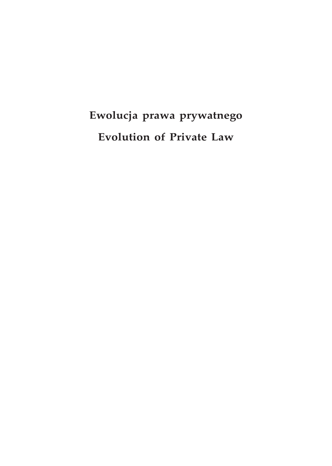## **Ewolucja prawa prywatnego Evolution of Private Law**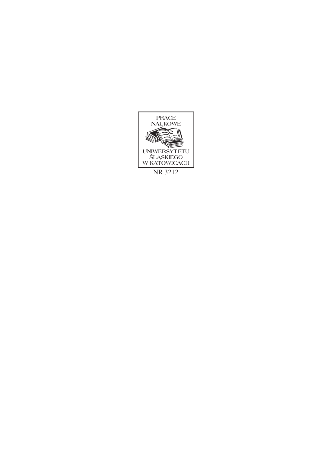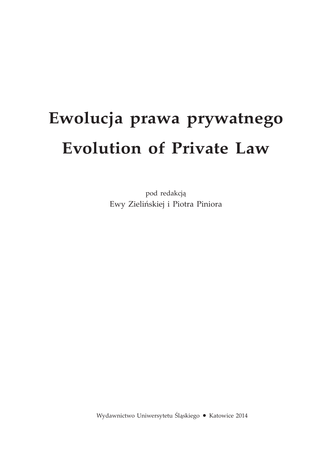# **Ewolucja prawa prywatnego Evolution of Private Law**

pod redakcją Ewy Zielińskiej i Piotra Piniora

Wydawnictwo Uniwersytetu Śląskiego • Katowice 2014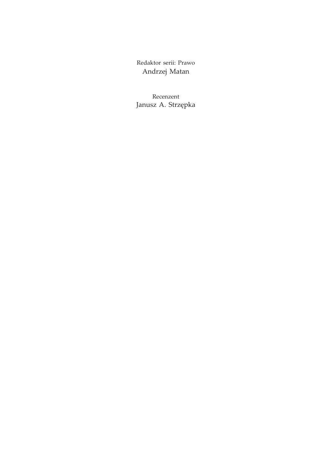Redaktor serii: Prawo Andrzej Matan

Recenzent Janusz A. Strzępka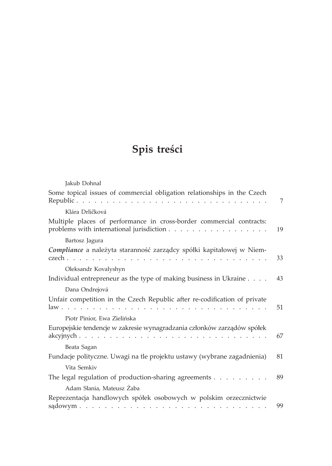### **Spis treści**

| Jakub Dohnal                                                                                                     |    |
|------------------------------------------------------------------------------------------------------------------|----|
| Some topical issues of commercial obligation relationships in the Czech                                          | 7  |
| Klára Drličková                                                                                                  |    |
| Multiple places of performance in cross-border commercial contracts:<br>problems with international jurisdiction | 19 |
| Bartosz Jagura                                                                                                   |    |
| Compliance a należyta staranność zarządcy spółki kapitałowej w Niem-                                             | 33 |
| Oleksandr Kovalyshyn                                                                                             |    |
| Individual entrepreneur as the type of making business in Ukraine                                                | 43 |
| Dana Ondrejová                                                                                                   |    |
| Unfair competition in the Czech Republic after re-codification of private                                        | 51 |
| Piotr Pinior, Ewa Zielińska                                                                                      |    |
| Europejskie tendencje w zakresie wynagradzania członków zarządów spółek                                          | 67 |
| Beata Sagan                                                                                                      |    |
| Fundacje polityczne. Uwagi na tle projektu ustawy (wybrane zagadnienia)                                          | 81 |
| Vita Semkiv                                                                                                      |    |
| The legal regulation of production-sharing agreements $\dots$                                                    | 89 |
| Adam Słania, Mateusz Żaba                                                                                        |    |
| Reprezentacja handlowych spółek osobowych w polskim orzecznictwie                                                | 99 |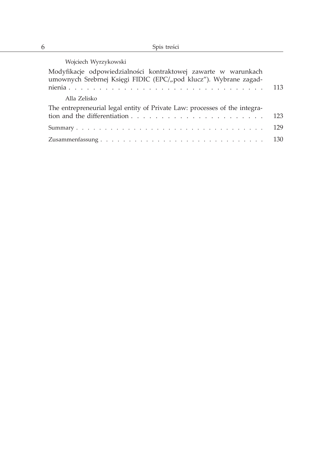| Wojciech Wyrzykowski                                                                                                               |     |
|------------------------------------------------------------------------------------------------------------------------------------|-----|
| Modyfikacje odpowiedzialności kontraktowej zawarte w warunkach<br>umownych Srebrnej Księgi FIDIC (EPC/"pod klucz"). Wybrane zagad- |     |
| Alla Zelisko                                                                                                                       |     |
| The entrepreneurial legal entity of Private Law: processes of the integra-                                                         | 123 |
|                                                                                                                                    | 129 |
|                                                                                                                                    | 130 |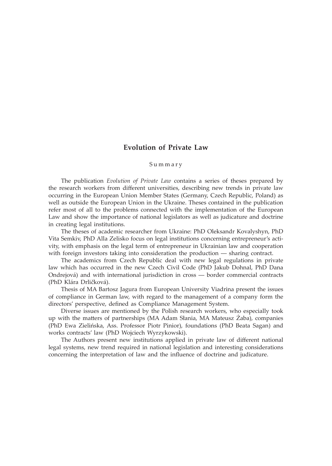#### **Evolution of Private Law**

#### Summary

The publication *Evolution of Private Law* contains a series of theses prepared by the research workers from different universities, describing new trends in private law occurring in the European Union Member States (Germany, Czech Republic, Poland) as well as outside the European Union in the Ukraine. Theses contained in the publication refer most of all to the problems connected with the implementation of the European Law and show the importance of national legislators as well as judicature and doctrine in creating legal institutions.

The theses of academic researcher from Ukraine: PhD Oleksandr Kovalyshyn, PhD Vita Semkiv, PhD Alla Zelisko focus on legal institutions concerning entrepreneur's activity, with emphasis on the legal term of entrepreneur in Ukrainian law and cooperation with foreign investors taking into consideration the production ― sharing contract.

The academics from Czech Republic deal with new legal regulations in private law which has occurred in the new Czech Civil Code (PhD Jakub Dohnal, PhD Dana Ondrejová) and with international jurisdiction in cross ― border commercial contracts (PhD Klára Drličková).

Thesis of MA Bartosz Jagura from European University Viadrina present the issues of compliance in German law, with regard to the management of a company form the directors' perspective, defined as Compliance Management System.

Diverse issues are mentioned by the Polish research workers, who especially took up with the matters of partnerships (MA Adam Słania, MA Mateusz Żaba), companies (PhD Ewa Zielińska, Ass. Professor Piotr Pinior), foundations (PhD Beata Sagan) and works contracts' law (PhD Wojciech Wyrzykowski).

The Authors present new institutions applied in private law of different national legal systems, new trend required in national legislation and interesting considerations concerning the interpretation of law and the influence of doctrine and judicature.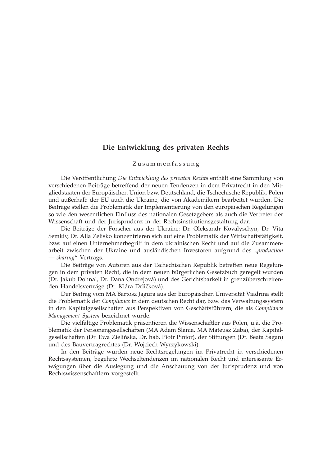#### **Die Entwicklung des privaten Rechts**

#### Zusammenfassung

Die Veröffentlichung *Die Entwicklung des privaten Rechts* enthält eine Sammlung von verschiedenen Beiträge betreffend der neuen Tendenzen in dem Privatrecht in den Mitgliedstaaten der Europäischen Union bzw. Deutschland, die Tschechische Republik, Polen und außerhalb der EU auch die Ukraine, die von Akademikern bearbeitet wurden. Die Beiträge stellen die Problematik der Implementierung von den europäischen Regelungen so wie den wesentlichen Einfluss des nationalen Gesetzgebers als auch die Vertreter der Wissenschaft und der Jurisprudenz in der Rechtsinstitutionsgestaltung dar.

Die Beiträge der Forscher aus der Ukraine: Dr. Oleksandr Kovalyschyn, Dr. Vita Semkiv, Dr. Alla Zelisko konzentrieren sich auf eine Problematik der Wirtschaftstätigkeit, bzw. auf einen Unternehmerbegriff in dem ukrainischen Recht und auf die Zusammenarbeit zwischen der Ukraine und ausländischen Investoren aufgrund des "*production ― sharing*" Vertrags.

Die Beiträge von Autoren aus der Tschechischen Republik betreffen neue Regelungen in dem privaten Recht, die in dem neuen bürgerlichen Gesetzbuch geregelt wurden (Dr. Jakub Dohnal, Dr. Dana Ondrejová) und des Gerichtsbarkeit in grenzüberschreitenden Handelsverträge (Dr. Klára Drličková).

Der Beitrag vom MA Bartosz Jagura aus der Europäischen Universität Viadrina stellt die Problematik der *Compliance* in dem deutschen Recht dar, bzw. das Verwaltungssystem in den Kapitalgesellschaften aus Perspektiven von Geschäftsführern, die als *Compliance Management System* bezeichnet wurde.

Die vielfältige Problematik präsentieren die Wissenschaftler aus Polen, u.ä. die Problematik der Personengesellschaften (MA Adam Słania, MA Mateusz Żaba), der Kapitalgesellschaften (Dr. Ewa Zielińska, Dr. hab. Piotr Pinior), der Stiftungen (Dr. Beata Sagan) und des Bauvertragrechtes (Dr. Wojciech Wyrzykowski).

In den Beiträge wurden neue Rechtsregelungen im Privatrecht in verschiedenen Rechtssystemen, begehrte Wechseltendenzen im nationalen Recht und interessante Erwägungen über die Auslegung und die Anschauung von der Jurisprudenz und von Rechtswissenschaftlern vorgestellt.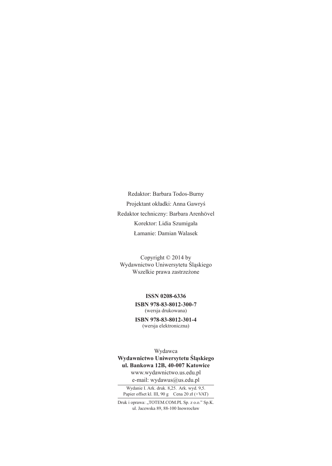Redaktor: Barbara Todos-Burny Projektant okładki: Anna Gawryś Redaktor techniczny: Barbara ArenhÖvel Korektor: Lidia Szumigała Łamanie: Damian Walasek

Copyright © 2014 by Wydawnictwo Uniwersytetu Śląskiego Wszelkie prawa zastrzeżone

> **ISSN 0208-6336 ISBN 978-83-8012-300-7** (wersja drukowana)

> **ISBN 978-83-8012-301-4** (wersja elektroniczna)

Wydawca **Wydawnictwo Uniwersytetu Śląskiego ul. Bankowa 12B, 40-007 Katowice** www.wydawnictwo.us.edu.pl

e-mail: wydawus@us.edu.pl Wydanie I. Ark. druk. 8,25. Ark. wyd. 9,5.

Papier offset kl. III, 90 g Cena 20 zł (+VAT)

Druk i oprawa: "TOTEM.COM.PL Sp. z o.o." Sp.K. ul. Jacewska 89, 88-100 Inowrocław